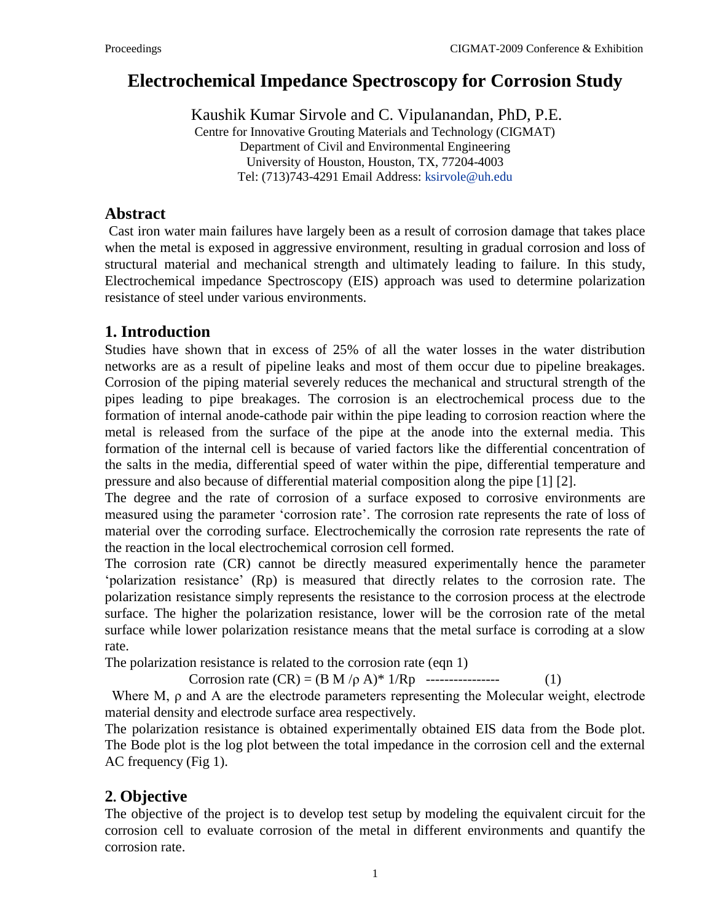# **Electrochemical Impedance Spectroscopy for Corrosion Study**

Kaushik Kumar Sirvole and C. Vipulanandan, PhD, P.E. Centre for Innovative Grouting Materials and Technology (CIGMAT)

Department of Civil and Environmental Engineering University of Houston, Houston, TX, 77204-4003 Tel: (713)743-4291 Email Address: [ksirvole@uh.edu](mailto:ksirvole@uh.edu)

#### **Abstract**

Cast iron water main failures have largely been as a result of corrosion damage that takes place when the metal is exposed in aggressive environment, resulting in gradual corrosion and loss of structural material and mechanical strength and ultimately leading to failure. In this study, Electrochemical impedance Spectroscopy (EIS) approach was used to determine polarization resistance of steel under various environments.

## **1. Introduction**

Studies have shown that in excess of 25% of all the water losses in the water distribution networks are as a result of pipeline leaks and most of them occur due to pipeline breakages. Corrosion of the piping material severely reduces the mechanical and structural strength of the pipes leading to pipe breakages. The corrosion is an electrochemical process due to the formation of internal anode-cathode pair within the pipe leading to corrosion reaction where the metal is released from the surface of the pipe at the anode into the external media. This formation of the internal cell is because of varied factors like the differential concentration of the salts in the media, differential speed of water within the pipe, differential temperature and pressure and also because of differential material composition along the pipe [1] [2].

The degree and the rate of corrosion of a surface exposed to corrosive environments are measured using the parameter 'corrosion rate'. The corrosion rate represents the rate of loss of material over the corroding surface. Electrochemically the corrosion rate represents the rate of the reaction in the local electrochemical corrosion cell formed.

The corrosion rate (CR) cannot be directly measured experimentally hence the parameter "polarization resistance" (Rp) is measured that directly relates to the corrosion rate. The polarization resistance simply represents the resistance to the corrosion process at the electrode surface. The higher the polarization resistance, lower will be the corrosion rate of the metal surface while lower polarization resistance means that the metal surface is corroding at a slow rate.

The polarization resistance is related to the corrosion rate (eqn 1)

Corrosion rate  $(CR) = (B M / \rho A)^* 1/Rp$  ----------------- (1)

Where M, ρ and A are the electrode parameters representing the Molecular weight, electrode material density and electrode surface area respectively.

The polarization resistance is obtained experimentally obtained EIS data from the Bode plot. The Bode plot is the log plot between the total impedance in the corrosion cell and the external AC frequency (Fig 1).

## **2. Objective**

The objective of the project is to develop test setup by modeling the equivalent circuit for the corrosion cell to evaluate corrosion of the metal in different environments and quantify the corrosion rate.